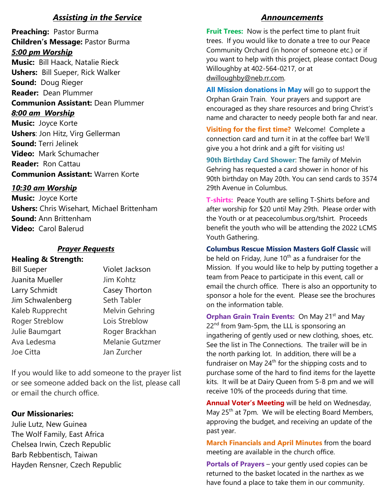# *Assisting in the Service*

**Preaching:** Pastor Burma **Children's Message:** Pastor Burma *5:00 pm Worship* **Music:** Bill Haack, Natalie Rieck **Ushers:** Bill Sueper, Rick Walker **Sound:** Doug Rieger **Reader:** Dean Plummer **Communion Assistant:** Dean Plummer *8:00 am Worship* **Music:** Joyce Korte **Ushers**: Jon Hitz, Virg Gellerman **Sound:** Terri Jelinek **Video:** Mark Schumacher

**Reader:** Ron Cattau **Communion Assistant:** Warren Korte

# *10:30 am Worship*

**Music:** Joyce Korte **Ushers:** Chris Wisehart, Michael Brittenham **Sound:** Ann Brittenham **Video:** Carol Balerud

# *Prayer Requests*

# **Healing & Strength:**

| <b>Bill Sueper</b>    | Violet Jackson         |
|-----------------------|------------------------|
| Juanita Mueller       | Jim Kohtz              |
| Larry Schmidt         | Casey Thorton          |
| Jim Schwalenberg      | Seth Tabler            |
| Kaleb Rupprecht       | Melvin Gehring         |
| <b>Roger Streblow</b> | Lois Streblow          |
| Julie Baumgart        | Roger Brackhan         |
| Ava Ledesma           | <b>Melanie Gutzmer</b> |
| Joe Citta             | Jan Zurcher            |

If you would like to add someone to the prayer list or see someone added back on the list, please call or email the church office.

# **Our Missionaries:**

Julie Lutz, New Guinea The Wolf Family, East Africa Chelsea Irwin, Czech Republic Barb Rebbentisch, Taiwan Hayden Rensner, Czech Republic

# *Announcements*

**Fruit Trees:** Now is the perfect time to plant fruit trees. If you would like to donate a tree to our Peace Community Orchard (in honor of someone etc.) or if you want to help with this project, please contact Doug Willoughby at 402-564-0217, or at [dwilloughby@neb.rr.com.](mailto:dwilloughby@neb.rr.com)

**All Mission donations in May** will go to support the Orphan Grain Train. Your prayers and support are encouraged as they share resources and bring Christ's name and character to needy people both far and near.

**Visiting for the first time?** Welcome! Complete a connection card and turn it in at the coffee bar! We'll give you a hot drink and a gift for visiting us!

**90th Birthday Card Shower**: The family of Melvin Gehring has requested a card shower in honor of his 90th birthday on May 20th. You can send cards to 3574 29th Avenue in Columbus.

**T-shirts:** Peace Youth are selling T-Shirts before and after worship for \$20 until May 29th. Please order with the Youth or at peacecolumbus.org/tshirt. Proceeds benefit the youth who will be attending the 2022 LCMS Youth Gathering.

**Columbus Rescue Mission Masters Golf Classic** will be held on Friday, June  $10<sup>th</sup>$  as a fundraiser for the Mission. If you would like to help by putting together a team from Peace to participate in this event, call or email the church office. There is also an opportunity to sponsor a hole for the event. Please see the brochures on the information table.

**Orphan Grain Train Events: On May 21st and May** 22<sup>nd</sup> from 9am-5pm, the LLL is sponsoring an ingathering of gently used or new clothing, shoes, etc. See the list in The Connections. The trailer will be in the north parking lot.In addition, there will be a fundraiser on May  $24<sup>th</sup>$  for the shipping costs and to purchase some of the hard to find items for the layette kits. It will be at Dairy Queen from 5-8 pm and we will receive 10% of the proceeds during that time.

**Annual Voter's Meeting** will be held on Wednesday, May  $25<sup>th</sup>$  at 7pm. We will be electing Board Members, approving the budget, and receiving an update of the past year.

**March Financials and April Minutes** from the board meeting are available in the church office.

**Portals of Prayers** – your gently used copies can be returned to the basket located in the narthex as we have found a place to take them in our community.